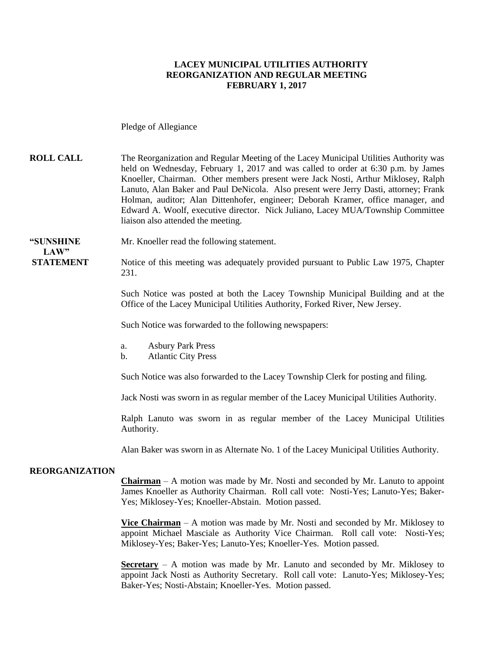#### **LACEY MUNICIPAL UTILITIES AUTHORITY REORGANIZATION AND REGULAR MEETING FEBRUARY 1, 2017**

Pledge of Allegiance

**ROLL CALL** The Reorganization and Regular Meeting of the Lacey Municipal Utilities Authority was held on Wednesday, February 1, 2017 and was called to order at 6:30 p.m. by James Knoeller, Chairman. Other members present were Jack Nosti, Arthur Miklosey, Ralph Lanuto, Alan Baker and Paul DeNicola. Also present were Jerry Dasti, attorney; Frank Holman, auditor; Alan Dittenhofer, engineer; Deborah Kramer, office manager, and Edward A. Woolf, executive director. Nick Juliano, Lacey MUA/Township Committee liaison also attended the meeting.

**"SUNSHINE** Mr. Knoeller read the following statement.

**STATEMENT** Notice of this meeting was adequately provided pursuant to Public Law 1975, Chapter 231.

> Such Notice was posted at both the Lacey Township Municipal Building and at the Office of the Lacey Municipal Utilities Authority, Forked River, New Jersey.

Such Notice was forwarded to the following newspapers:

- a. Asbury Park Press
- b. Atlantic City Press

Such Notice was also forwarded to the Lacey Township Clerk for posting and filing.

Jack Nosti was sworn in as regular member of the Lacey Municipal Utilities Authority.

Ralph Lanuto was sworn in as regular member of the Lacey Municipal Utilities Authority.

Alan Baker was sworn in as Alternate No. 1 of the Lacey Municipal Utilities Authority.

#### **REORGANIZATION**

**LAW"**

**Chairman** – A motion was made by Mr. Nosti and seconded by Mr. Lanuto to appoint James Knoeller as Authority Chairman. Roll call vote: Nosti-Yes; Lanuto-Yes; Baker-Yes; Miklosey-Yes; Knoeller-Abstain. Motion passed.

**Vice Chairman** – A motion was made by Mr. Nosti and seconded by Mr. Miklosey to appoint Michael Masciale as Authority Vice Chairman. Roll call vote: Nosti-Yes; Miklosey-Yes; Baker-Yes; Lanuto-Yes; Knoeller-Yes. Motion passed.

**Secretary** – A motion was made by Mr. Lanuto and seconded by Mr. Miklosey to appoint Jack Nosti as Authority Secretary. Roll call vote: Lanuto-Yes; Miklosey-Yes; Baker-Yes; Nosti-Abstain; Knoeller-Yes. Motion passed.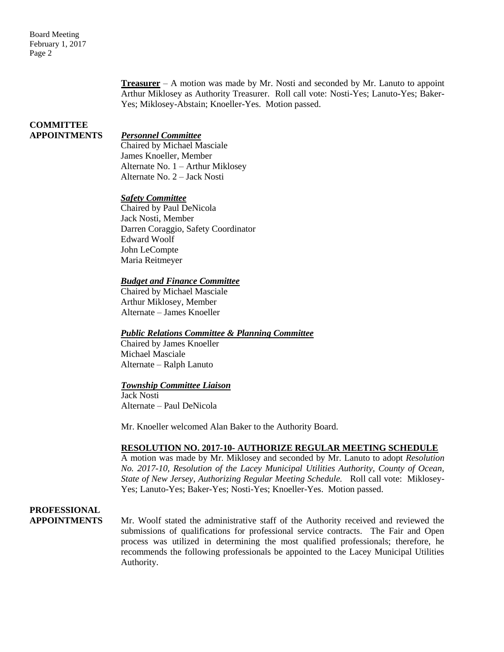**Treasurer** – A motion was made by Mr. Nosti and seconded by Mr. Lanuto to appoint Arthur Miklosey as Authority Treasurer. Roll call vote: Nosti-Yes; Lanuto-Yes; Baker-Yes; Miklosey-Abstain; Knoeller-Yes. Motion passed.

# **COMMITTEE**

#### **APPOINTMENTS** *Personnel Committee*

Chaired by Michael Masciale James Knoeller, Member Alternate No. 1 – Arthur Miklosey Alternate No. 2 – Jack Nosti

#### *Safety Committee*

Chaired by Paul DeNicola Jack Nosti, Member Darren Coraggio, Safety Coordinator Edward Woolf John LeCompte Maria Reitmeyer

#### *Budget and Finance Committee*

Chaired by Michael Masciale Arthur Miklosey, Member Alternate – James Knoeller

#### *Public Relations Committee & Planning Committee*

Chaired by James Knoeller Michael Masciale Alternate – Ralph Lanuto

#### *Township Committee Liaison*

Jack Nosti Alternate – Paul DeNicola

Mr. Knoeller welcomed Alan Baker to the Authority Board.

#### **RESOLUTION NO. 2017-10- AUTHORIZE REGULAR MEETING SCHEDULE**

A motion was made by Mr. Miklosey and seconded by Mr. Lanuto to adopt *Resolution No. 2017-10, Resolution of the Lacey Municipal Utilities Authority, County of Ocean, State of New Jersey*, *Authorizing Regular Meeting Schedule.* Roll call vote: Miklosey-Yes; Lanuto-Yes; Baker-Yes; Nosti-Yes; Knoeller-Yes. Motion passed.

## **PROFESSIONAL**

**APPOINTMENTS** Mr. Woolf stated the administrative staff of the Authority received and reviewed the submissions of qualifications for professional service contracts. The Fair and Open process was utilized in determining the most qualified professionals; therefore, he recommends the following professionals be appointed to the Lacey Municipal Utilities Authority.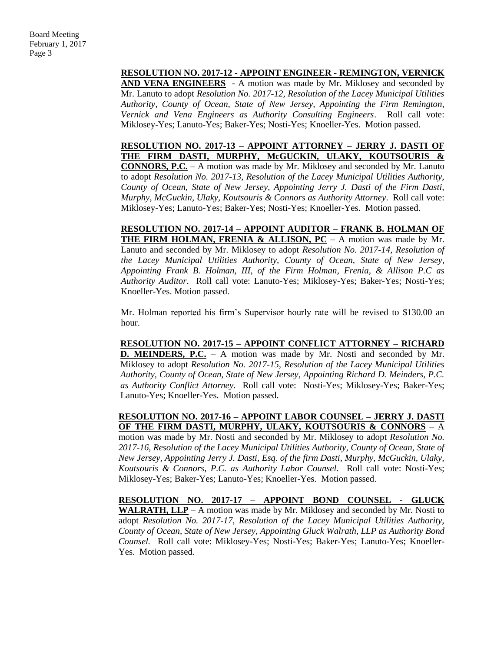#### **RESOLUTION NO. 2017-12 - APPOINT ENGINEER - REMINGTON, VERNICK**

**AND VENA ENGINEERS** - A motion was made by Mr. Miklosey and seconded by Mr. Lanuto to adopt *Resolution No. 2017-12, Resolution of the Lacey Municipal Utilities Authority, County of Ocean, State of New Jersey, Appointing the Firm Remington, Vernick and Vena Engineers as Authority Consulting Engineers*. Roll call vote: Miklosey-Yes; Lanuto-Yes; Baker-Yes; Nosti-Yes; Knoeller-Yes. Motion passed.

**RESOLUTION NO. 2017-13 – APPOINT ATTORNEY – JERRY J. DASTI OF THE FIRM DASTI, MURPHY, McGUCKIN, ULAKY, KOUTSOURIS & CONNORS, P.C.** – A motion was made by Mr. Miklosey and seconded by Mr. Lanuto to adopt *Resolution No. 2017-13, Resolution of the Lacey Municipal Utilities Authority, County of Ocean, State of New Jersey, Appointing Jerry J. Dasti of the Firm Dasti, Murphy*, *McGuckin, Ulaky, Koutsouris & Connors as Authority Attorney*. Roll call vote: Miklosey-Yes; Lanuto-Yes; Baker-Yes; Nosti-Yes; Knoeller-Yes. Motion passed.

**RESOLUTION NO. 2017-14 – APPOINT AUDITOR – FRANK B. HOLMAN OF THE FIRM HOLMAN, FRENIA & ALLISON, PC** – A motion was made by Mr. Lanuto and seconded by Mr. Miklosey to adopt *Resolution No. 2017-14, Resolution of the Lacey Municipal Utilities Authority, County of Ocean, State of New Jersey, Appointing Frank B. Holman, III, of the Firm Holman, Frenia, & Allison P.C as Authority Auditor*. Roll call vote: Lanuto-Yes; Miklosey-Yes; Baker-Yes; Nosti-Yes; Knoeller-Yes. Motion passed.

Mr. Holman reported his firm's Supervisor hourly rate will be revised to \$130.00 an hour.

**RESOLUTION NO. 2017-15 – APPOINT CONFLICT ATTORNEY – RICHARD D. MEINDERS, P.C.** – A motion was made by Mr. Nosti and seconded by Mr. Miklosey to adopt *Resolution No. 2017-15, Resolution of the Lacey Municipal Utilities Authority, County of Ocean, State of New Jersey*, *Appointing Richard D. Meinders, P.C. as Authority Conflict Attorney.* Roll call vote: Nosti-Yes; Miklosey-Yes; Baker-Yes; Lanuto-Yes; Knoeller-Yes. Motion passed.

**RESOLUTION NO. 2017-16 – APPOINT LABOR COUNSEL – JERRY J. DASTI OF THE FIRM DASTI, MURPHY, ULAKY, KOUTSOURIS & CONNORS** – A

motion was made by Mr. Nosti and seconded by Mr. Miklosey to adopt *Resolution No. 2017-16, Resolution of the Lacey Municipal Utilities Authority, County of Ocean, State of New Jersey, Appointing Jerry J. Dasti, Esq. of the firm Dasti, Murphy, McGuckin, Ulaky, Koutsouris & Connors, P.C. as Authority Labor Counsel*. Roll call vote: Nosti-Yes; Miklosey-Yes; Baker-Yes; Lanuto-Yes; Knoeller-Yes. Motion passed.

**RESOLUTION NO. 2017-17 – APPOINT BOND COUNSEL - GLUCK WALRATH, LLP** – A motion was made by Mr. Miklosey and seconded by Mr. Nosti to adopt *Resolution No. 2017-17, Resolution of the Lacey Municipal Utilities Authority, County of Ocean, State of New Jersey, Appointing Gluck Walrath, LLP as Authority Bond Counsel.* Roll call vote: Miklosey-Yes; Nosti-Yes; Baker-Yes; Lanuto-Yes; Knoeller-Yes. Motion passed.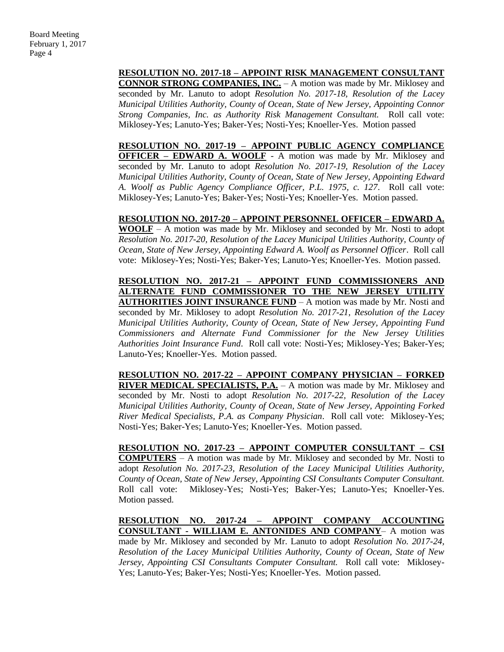#### **RESOLUTION NO. 2017-18 – APPOINT RISK MANAGEMENT CONSULTANT**

**CONNOR STRONG COMPANIES, INC.** – A motion was made by Mr. Miklosey and seconded by Mr. Lanuto to adopt *Resolution No. 2017-18, Resolution of the Lacey Municipal Utilities Authority, County of Ocean, State of New Jersey, Appointing Connor Strong Companies, Inc. as Authority Risk Management Consultant.* Roll call vote: Miklosey-Yes; Lanuto-Yes; Baker-Yes; Nosti-Yes; Knoeller-Yes. Motion passed

**RESOLUTION NO. 2017-19 – APPOINT PUBLIC AGENCY COMPLIANCE OFFICER – EDWARD A. WOOLF** - A motion was made by Mr. Miklosey and seconded by Mr. Lanuto to adopt *Resolution No. 2017-19, Resolution of the Lacey Municipal Utilities Authority, County of Ocean, State of New Jersey, Appointing Edward A. Woolf as Public Agency Compliance Officer, P.L. 1975, c. 127*. Roll call vote: Miklosey-Yes; Lanuto-Yes; Baker-Yes; Nosti-Yes; Knoeller-Yes. Motion passed.

#### **RESOLUTION NO. 2017-20 – APPOINT PERSONNEL OFFICER – EDWARD A.**

**WOOLF** – A motion was made by Mr. Miklosey and seconded by Mr. Nosti to adopt *Resolution No. 2017-20, Resolution of the Lacey Municipal Utilities Authority, County of Ocean, State of New Jersey, Appointing Edward A. Woolf as Personnel Officer*. Roll call vote: Miklosey-Yes; Nosti-Yes; Baker-Yes; Lanuto-Yes; Knoeller-Yes. Motion passed.

**RESOLUTION NO. 2017-21 – APPOINT FUND COMMISSIONERS AND ALTERNATE FUND COMMISSIONER TO THE NEW JERSEY UTILITY AUTHORITIES JOINT INSURANCE FUND** – A motion was made by Mr. Nosti and seconded by Mr. Miklosey to adopt *Resolution No. 2017-21, Resolution of the Lacey Municipal Utilities Authority, County of Ocean, State of New Jersey, Appointing Fund Commissioners and Alternate Fund Commissioner for the New Jersey Utilities Authorities Joint Insurance Fund*. Roll call vote: Nosti-Yes; Miklosey-Yes; Baker-Yes; Lanuto-Yes; Knoeller-Yes. Motion passed.

**RESOLUTION NO. 2017-22 – APPOINT COMPANY PHYSICIAN – FORKED RIVER MEDICAL SPECIALISTS, P.A.** – A motion was made by Mr. Miklosey and seconded by Mr. Nosti to adopt *Resolution No. 2017-22, Resolution of the Lacey Municipal Utilities Authority, County of Ocean, State of New Jersey, Appointing Forked River Medical Specialists, P.A. as Company Physician*. Roll call vote: Miklosey-Yes; Nosti-Yes; Baker-Yes; Lanuto-Yes; Knoeller-Yes. Motion passed.

**RESOLUTION NO. 2017-23 – APPOINT COMPUTER CONSULTANT – CSI COMPUTERS** – A motion was made by Mr. Miklosey and seconded by Mr. Nosti to adopt *Resolution No. 2017-23, Resolution of the Lacey Municipal Utilities Authority, County of Ocean, State of New Jersey, Appointing CSI Consultants Computer Consultant.* Roll call vote: Miklosey-Yes; Nosti-Yes; Baker-Yes; Lanuto-Yes; Knoeller-Yes. Motion passed.

#### **RESOLUTION NO. 2017-24 – APPOINT COMPANY ACCOUNTING CONSULTANT - WILLIAM E. ANTONIDES AND COMPANY**– A motion was

made by Mr. Miklosey and seconded by Mr. Lanuto to adopt *Resolution No. 2017-24, Resolution of the Lacey Municipal Utilities Authority, County of Ocean, State of New Jersey, Appointing CSI Consultants Computer Consultant.* Roll call vote: Miklosey-Yes; Lanuto-Yes; Baker-Yes; Nosti-Yes; Knoeller-Yes. Motion passed.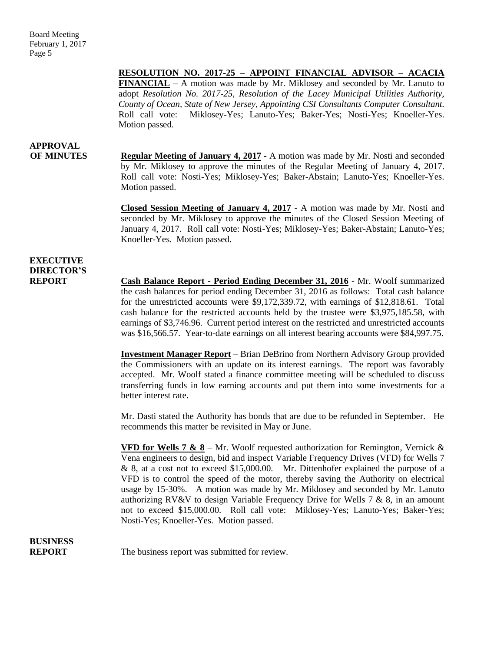#### **RESOLUTION NO. 2017-25 – APPOINT FINANCIAL ADVISOR – ACACIA**

**FINANCIAL** – A motion was made by Mr. Miklosey and seconded by Mr. Lanuto to adopt *Resolution No. 2017-25, Resolution of the Lacey Municipal Utilities Authority, County of Ocean, State of New Jersey, Appointing CSI Consultants Computer Consultant.* Roll call vote: Miklosey-Yes; Lanuto-Yes; Baker-Yes; Nosti-Yes; Knoeller-Yes. Motion passed.

# **APPROVAL**

**OF MINUTES Regular Meeting of January 4, 2017 -** A motion was made by Mr. Nosti and seconded by Mr. Miklosey to approve the minutes of the Regular Meeting of January 4, 2017. Roll call vote: Nosti-Yes; Miklosey-Yes; Baker-Abstain; Lanuto-Yes; Knoeller-Yes. Motion passed.

> **Closed Session Meeting of January 4, 2017 -** A motion was made by Mr. Nosti and seconded by Mr. Miklosey to approve the minutes of the Closed Session Meeting of January 4, 2017. Roll call vote: Nosti-Yes; Miklosey-Yes; Baker-Abstain; Lanuto-Yes; Knoeller-Yes. Motion passed.

### **EXECUTIVE DIRECTOR'S**

**REPORT Cash Balance Report - Period Ending December 31, 2016** - Mr. Woolf summarized the cash balances for period ending December 31, 2016 as follows: Total cash balance for the unrestricted accounts were \$9,172,339.72, with earnings of \$12,818.61. Total cash balance for the restricted accounts held by the trustee were \$3,975,185.58, with earnings of \$3,746.96. Current period interest on the restricted and unrestricted accounts was \$16,566.57. Year-to-date earnings on all interest bearing accounts were \$84,997.75.

> **Investment Manager Report** – Brian DeBrino from Northern Advisory Group provided the Commissioners with an update on its interest earnings. The report was favorably accepted. Mr. Woolf stated a finance committee meeting will be scheduled to discuss transferring funds in low earning accounts and put them into some investments for a better interest rate.

> Mr. Dasti stated the Authority has bonds that are due to be refunded in September. He recommends this matter be revisited in May or June.

> **VFD for Wells 7 & 8** – Mr. Woolf requested authorization for Remington, Vernick & Vena engineers to design, bid and inspect Variable Frequency Drives (VFD) for Wells 7 & 8, at a cost not to exceed \$15,000.00. Mr. Dittenhofer explained the purpose of a VFD is to control the speed of the motor, thereby saving the Authority on electrical usage by 15-30%. A motion was made by Mr. Miklosey and seconded by Mr. Lanuto authorizing RV&V to design Variable Frequency Drive for Wells 7 & 8, in an amount not to exceed \$15,000.00. Roll call vote: Miklosey-Yes; Lanuto-Yes; Baker-Yes; Nosti-Yes; Knoeller-Yes. Motion passed.

# **BUSINESS**

**REPORT** The business report was submitted for review.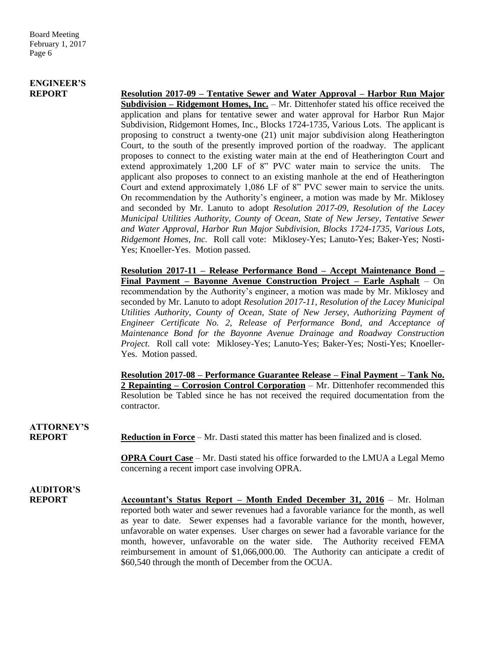# **ENGINEER'S**

**REPORT Resolution 2017-09 – Tentative Sewer and Water Approval – Harbor Run Major Subdivision – Ridgemont Homes, Inc.** – Mr. Dittenhofer stated his office received the application and plans for tentative sewer and water approval for Harbor Run Major Subdivision, Ridgemont Homes, Inc., Blocks 1724-1735, Various Lots. The applicant is proposing to construct a twenty-one (21) unit major subdivision along Heatherington Court, to the south of the presently improved portion of the roadway. The applicant proposes to connect to the existing water main at the end of Heatherington Court and extend approximately 1,200 LF of 8" PVC water main to service the units. The applicant also proposes to connect to an existing manhole at the end of Heatherington Court and extend approximately 1,086 LF of 8" PVC sewer main to service the units. On recommendation by the Authority's engineer, a motion was made by Mr. Miklosey and seconded by Mr. Lanuto to adopt *Resolution 2017-09, Resolution of the Lacey Municipal Utilities Authority, County of Ocean, State of New Jersey, Tentative Sewer and Water Approval, Harbor Run Major Subdivision, Blocks 1724-1735, Various Lots, Ridgemont Homes, Inc.* Roll call vote: Miklosey-Yes; Lanuto-Yes; Baker-Yes; Nosti-Yes; Knoeller-Yes. Motion passed.

> **Resolution 2017-11 – Release Performance Bond – Accept Maintenance Bond – Final Payment – Bayonne Avenue Construction Project – Earle Asphalt** – On recommendation by the Authority's engineer, a motion was made by Mr. Miklosey and seconded by Mr. Lanuto to adopt *Resolution 2017-11, Resolution of the Lacey Municipal Utilities Authority, County of Ocean, State of New Jersey, Authorizing Payment of Engineer Certificate No. 2, Release of Performance Bond, and Acceptance of Maintenance Bond for the Bayonne Avenue Drainage and Roadway Construction Project.* Roll call vote: Miklosey-Yes; Lanuto-Yes; Baker-Yes; Nosti-Yes; Knoeller-Yes. Motion passed.

> **Resolution 2017-08 – Performance Guarantee Release – Final Payment – Tank No. 2 Repainting – Corrosion Control Corporation** – Mr. Dittenhofer recommended this Resolution be Tabled since he has not received the required documentation from the contractor.

**ATTORNEY'S**

**REPORT Reduction in Force** – Mr. Dasti stated this matter has been finalized and is closed.

**OPRA Court Case** – Mr. Dasti stated his office forwarded to the LMUA a Legal Memo concerning a recent import case involving OPRA.

**AUDITOR'S**

**REPORT Accountant's Status Report – Month Ended December 31, 2016** – Mr. Holman reported both water and sewer revenues had a favorable variance for the month, as well as year to date. Sewer expenses had a favorable variance for the month, however, unfavorable on water expenses. User charges on sewer had a favorable variance for the month, however, unfavorable on the water side. The Authority received FEMA reimbursement in amount of \$1,066,000.00. The Authority can anticipate a credit of \$60,540 through the month of December from the OCUA.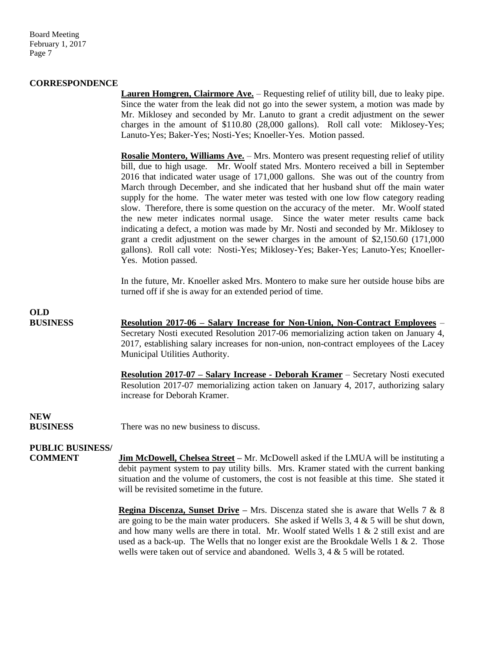Board Meeting February 1, 2017 Page 7

#### **CORRESPONDENCE**

Lauren Homgren, Clairmore Ave. - Requesting relief of utility bill, due to leaky pipe. Since the water from the leak did not go into the sewer system, a motion was made by Mr. Miklosey and seconded by Mr. Lanuto to grant a credit adjustment on the sewer charges in the amount of \$110.80 (28,000 gallons). Roll call vote: Miklosey-Yes; Lanuto-Yes; Baker-Yes; Nosti-Yes; Knoeller-Yes. Motion passed.

**Rosalie Montero, Williams Ave.** – Mrs. Montero was present requesting relief of utility bill, due to high usage. Mr. Woolf stated Mrs. Montero received a bill in September 2016 that indicated water usage of 171,000 gallons. She was out of the country from March through December, and she indicated that her husband shut off the main water supply for the home. The water meter was tested with one low flow category reading slow. Therefore, there is some question on the accuracy of the meter. Mr. Woolf stated the new meter indicates normal usage. Since the water meter results came back indicating a defect, a motion was made by Mr. Nosti and seconded by Mr. Miklosey to grant a credit adjustment on the sewer charges in the amount of \$2,150.60 (171,000 gallons). Roll call vote: Nosti-Yes; Miklosey-Yes; Baker-Yes; Lanuto-Yes; Knoeller-Yes. Motion passed.

In the future, Mr. Knoeller asked Mrs. Montero to make sure her outside house bibs are turned off if she is away for an extended period of time.

**BUSINESS Resolution 2017-06 – Salary Increase for Non-Union, Non-Contract Employees** – Secretary Nosti executed Resolution 2017-06 memorializing action taken on January 4, 2017, establishing salary increases for non-union, non-contract employees of the Lacey Municipal Utilities Authority.

> **Resolution 2017-07 – Salary Increase - Deborah Kramer** – Secretary Nosti executed Resolution 2017-07 memorializing action taken on January 4, 2017, authorizing salary increase for Deborah Kramer.

## **NEW**

**OLD**

**BUSINESS** There was no new business to discuss.

#### **PUBLIC BUSINESS/**

**COMMENT Jim McDowell, Chelsea Street –** Mr. McDowell asked if the LMUA will be instituting a debit payment system to pay utility bills. Mrs. Kramer stated with the current banking situation and the volume of customers, the cost is not feasible at this time. She stated it will be revisited sometime in the future.

> **Regina Discenza, Sunset Drive –** Mrs. Discenza stated she is aware that Wells 7 & 8 are going to be the main water producers. She asked if Wells 3, 4 & 5 will be shut down, and how many wells are there in total. Mr. Woolf stated Wells  $1 \& 2$  still exist and are used as a back-up. The Wells that no longer exist are the Brookdale Wells  $1 \& 2$ . Those wells were taken out of service and abandoned. Wells 3, 4 & 5 will be rotated.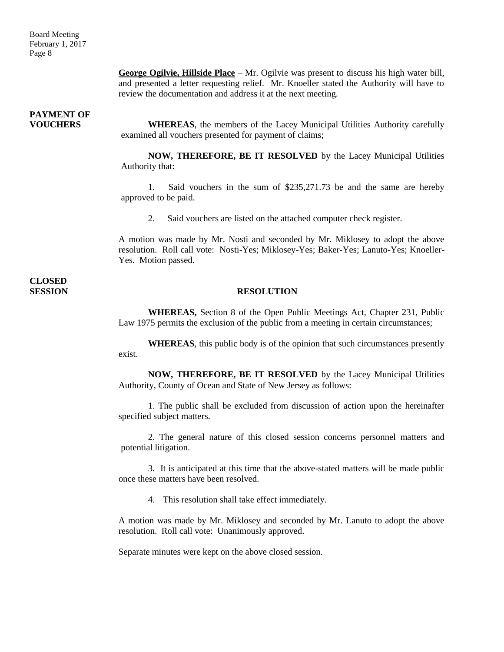**George Ogilvie, Hillside Place** – Mr. Ogilvie was present to discuss his high water bill, and presented a letter requesting relief. Mr. Knoeller stated the Authority will have to review the documentation and address it at the next meeting.

# **PAYMENT OF**

**VOUCHERS WHEREAS**, the members of the Lacey Municipal Utilities Authority carefully examined all vouchers presented for payment of claims;

> **NOW, THEREFORE, BE IT RESOLVED** by the Lacey Municipal Utilities Authority that:

> 1. Said vouchers in the sum of \$235,271.73 be and the same are hereby approved to be paid.

2. Said vouchers are listed on the attached computer check register.

A motion was made by Mr. Nosti and seconded by Mr. Miklosey to adopt the above resolution. Roll call vote: Nosti-Yes; Miklosey-Yes; Baker-Yes; Lanuto-Yes; Knoeller-Yes. Motion passed.

**CLOSED** 

#### **SESSION RESOLUTION**

**WHEREAS,** Section 8 of the Open Public Meetings Act, Chapter 231, Public Law 1975 permits the exclusion of the public from a meeting in certain circumstances;

**WHEREAS**, this public body is of the opinion that such circumstances presently exist.

**NOW, THEREFORE, BE IT RESOLVED** by the Lacey Municipal Utilities Authority, County of Ocean and State of New Jersey as follows:

1. The public shall be excluded from discussion of action upon the hereinafter specified subject matters.

2. The general nature of this closed session concerns personnel matters and potential litigation.

3. It is anticipated at this time that the above-stated matters will be made public once these matters have been resolved.

4. This resolution shall take effect immediately.

A motion was made by Mr. Miklosey and seconded by Mr. Lanuto to adopt the above resolution. Roll call vote: Unanimously approved.

Separate minutes were kept on the above closed session.